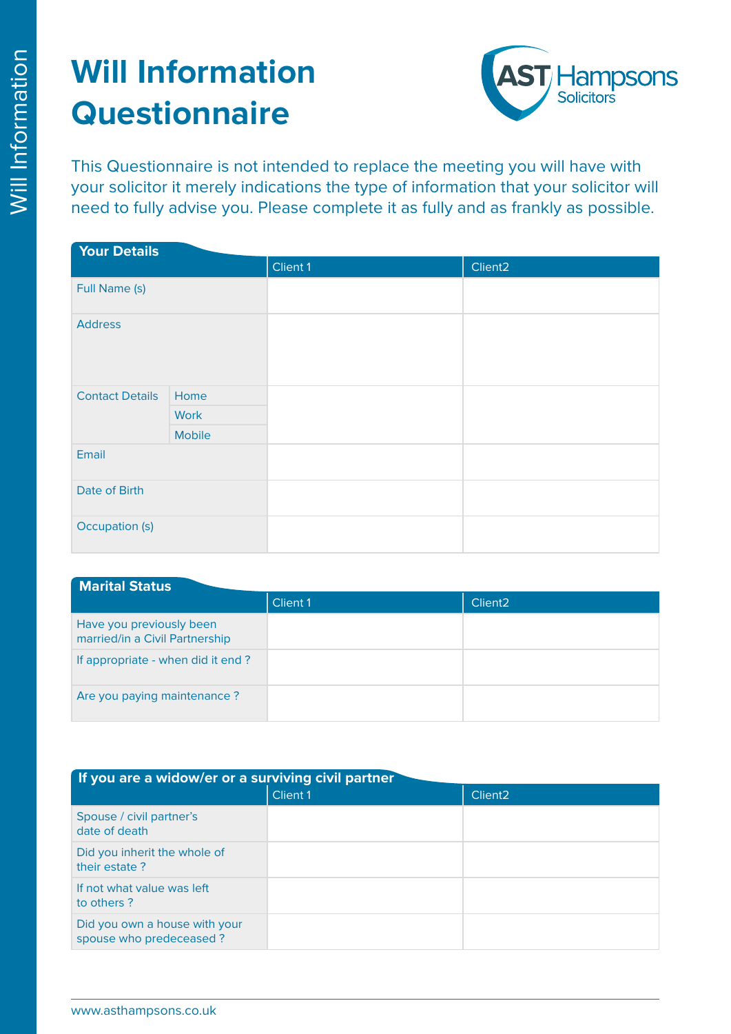

This Questionnaire is not intended to replace the meeting you will have with your solicitor it merely indications the type of information that your solicitor will need to fully advise you. Please complete it as fully and as frankly as possible.

| <b>Your Details</b>    |               |          |                     |  |
|------------------------|---------------|----------|---------------------|--|
|                        |               | Client 1 | Client <sub>2</sub> |  |
| Full Name (s)          |               |          |                     |  |
| <b>Address</b>         |               |          |                     |  |
| <b>Contact Details</b> | Home          |          |                     |  |
|                        | <b>Work</b>   |          |                     |  |
|                        | <b>Mobile</b> |          |                     |  |
| Email                  |               |          |                     |  |
| Date of Birth          |               |          |                     |  |
| Occupation (s)         |               |          |                     |  |

| <b>Marital Status</b>                                      |          |                     |
|------------------------------------------------------------|----------|---------------------|
|                                                            | Client 1 | Client <sub>2</sub> |
| Have you previously been<br>married/in a Civil Partnership |          |                     |
| If appropriate - when did it end?                          |          |                     |
| Are you paying maintenance?                                |          |                     |

| If you are a widow/er or a surviving civil partner       |          |                     |  |  |
|----------------------------------------------------------|----------|---------------------|--|--|
|                                                          | Client 1 | Client <sub>2</sub> |  |  |
| Spouse / civil partner's<br>date of death                |          |                     |  |  |
| Did you inherit the whole of<br>their estate?            |          |                     |  |  |
| If not what value was left<br>to others?                 |          |                     |  |  |
| Did you own a house with your<br>spouse who predeceased? |          |                     |  |  |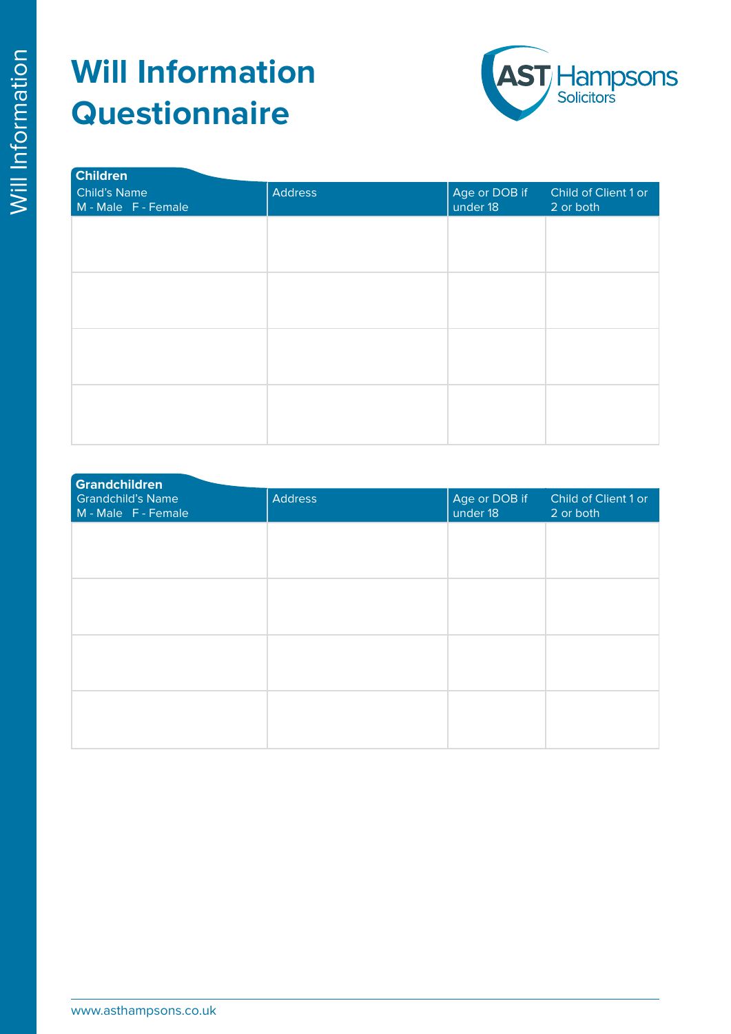

| <b>Children</b>                     |         |                           |                                   |  |  |
|-------------------------------------|---------|---------------------------|-----------------------------------|--|--|
| Child's Name<br>M - Male F - Female | Address | Age or DOB if<br>under 18 | Child of Client 1 or<br>2 or both |  |  |
|                                     |         |                           |                                   |  |  |
|                                     |         |                           |                                   |  |  |
|                                     |         |                           |                                   |  |  |
|                                     |         |                           |                                   |  |  |
|                                     |         |                           |                                   |  |  |
|                                     |         |                           |                                   |  |  |
|                                     |         |                           |                                   |  |  |
|                                     |         |                           |                                   |  |  |

| <b>Grandchildren</b>                            |                |                           |                                   |
|-------------------------------------------------|----------------|---------------------------|-----------------------------------|
| <b>Grandchild's Name</b><br>M - Male F - Female | <b>Address</b> | Age or DOB if<br>under 18 | Child of Client 1 or<br>2 or both |
|                                                 |                |                           |                                   |
|                                                 |                |                           |                                   |
|                                                 |                |                           |                                   |
|                                                 |                |                           |                                   |
|                                                 |                |                           |                                   |
|                                                 |                |                           |                                   |
|                                                 |                |                           |                                   |
|                                                 |                |                           |                                   |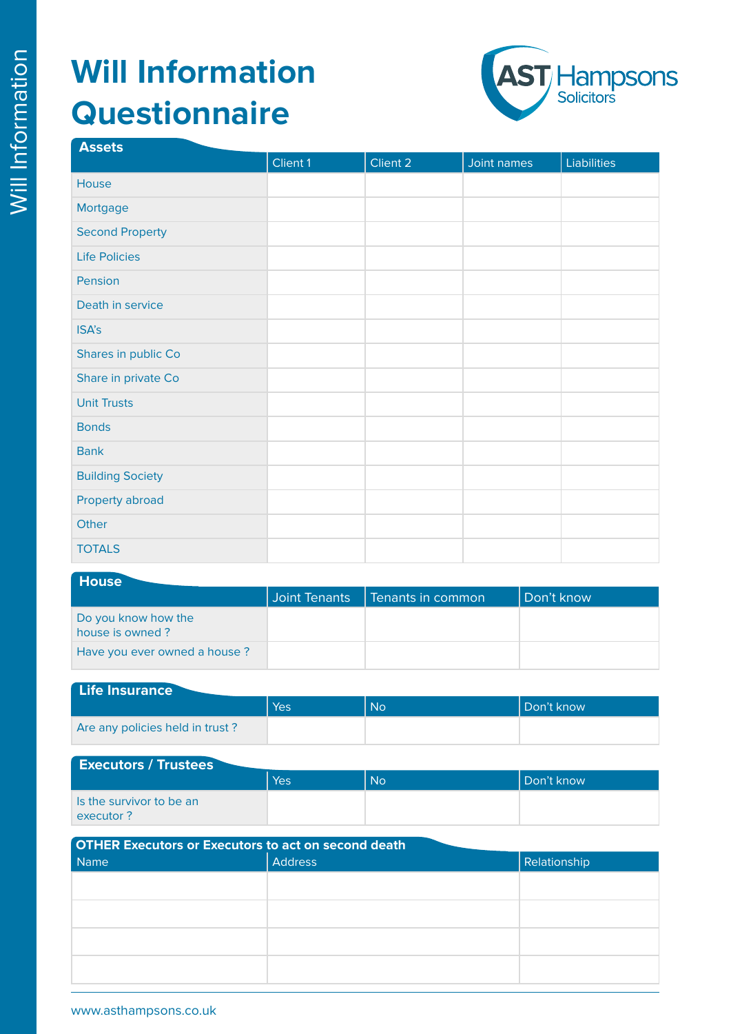

| <b>Assets</b>           |          |          |             |                    |
|-------------------------|----------|----------|-------------|--------------------|
|                         | Client 1 | Client 2 | Joint names | <b>Liabilities</b> |
| House                   |          |          |             |                    |
| Mortgage                |          |          |             |                    |
| <b>Second Property</b>  |          |          |             |                    |
| <b>Life Policies</b>    |          |          |             |                    |
| Pension                 |          |          |             |                    |
| Death in service        |          |          |             |                    |
| ISA's                   |          |          |             |                    |
| Shares in public Co     |          |          |             |                    |
| Share in private Co     |          |          |             |                    |
| <b>Unit Trusts</b>      |          |          |             |                    |
| <b>Bonds</b>            |          |          |             |                    |
| <b>Bank</b>             |          |          |             |                    |
| <b>Building Society</b> |          |          |             |                    |
| Property abroad         |          |          |             |                    |
| Other                   |          |          |             |                    |
| <b>TOTALS</b>           |          |          |             |                    |
|                         |          |          |             |                    |

#### **House**

|                                        | Joint Tenants | I Tenants in common | Don't know |
|----------------------------------------|---------------|---------------------|------------|
| Do you know how the<br>house is owned? |               |                     |            |
| Have you ever owned a house?           |               |                     |            |

#### **Life Insurance**

|                                 | Yes | <b>No</b> | Don't know |
|---------------------------------|-----|-----------|------------|
| Are any policies held in trust? |     |           |            |

| <b>Executors / Trustees</b>           |     |           |              |  |
|---------------------------------------|-----|-----------|--------------|--|
|                                       | Yes | <b>No</b> | l Don't know |  |
| Is the survivor to be an<br>executor? |     |           |              |  |

| <b>OTHER Executors or Executors to act on second death</b><br>Name | <b>Address</b> | <b>Relationship</b> |
|--------------------------------------------------------------------|----------------|---------------------|
|                                                                    |                |                     |
|                                                                    |                |                     |
|                                                                    |                |                     |
|                                                                    |                |                     |
|                                                                    |                |                     |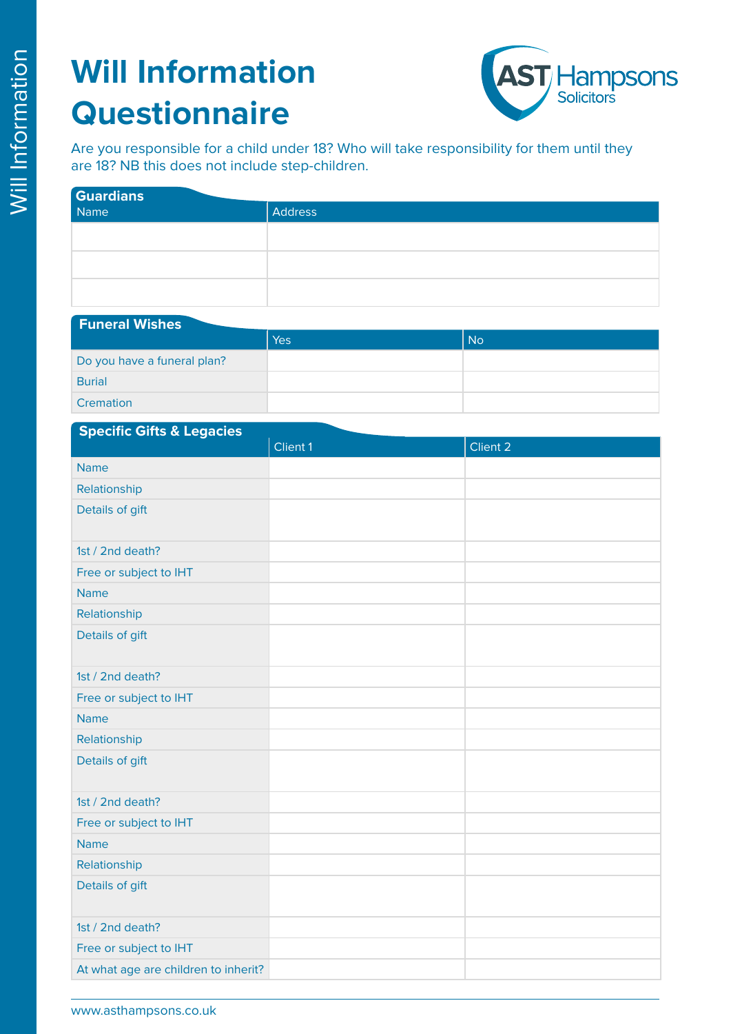**Funeral Wishes**



Are you responsible for a child under 18? Who will take responsibility for them until they are 18? NB this does not include step-children.

| <b>Guardians</b> |                |  |
|------------------|----------------|--|
| Name             | <b>Address</b> |  |
|                  |                |  |
|                  |                |  |
|                  |                |  |
|                  |                |  |

| <b>FULLER OF VISITES</b>    |     |                |  |  |
|-----------------------------|-----|----------------|--|--|
|                             | Yes | N <sub>o</sub> |  |  |
| Do you have a funeral plan? |     |                |  |  |
| <b>Burial</b>               |     |                |  |  |
| Cremation                   |     |                |  |  |

| <b>Specific Gifts &amp; Legacies</b> |          |          |
|--------------------------------------|----------|----------|
|                                      | Client 1 | Client 2 |
| <b>Name</b>                          |          |          |
| Relationship                         |          |          |
| Details of gift                      |          |          |
| 1st / 2nd death?                     |          |          |
| Free or subject to IHT               |          |          |
| <b>Name</b>                          |          |          |
| Relationship                         |          |          |
| Details of gift                      |          |          |
| 1st / 2nd death?                     |          |          |
| Free or subject to IHT               |          |          |
| <b>Name</b>                          |          |          |
| Relationship                         |          |          |
| Details of gift                      |          |          |
| 1st / 2nd death?                     |          |          |
| Free or subject to IHT               |          |          |
| <b>Name</b>                          |          |          |
| Relationship                         |          |          |
| Details of gift                      |          |          |
| 1st / 2nd death?                     |          |          |
| Free or subject to IHT               |          |          |
| At what age are children to inherit? |          |          |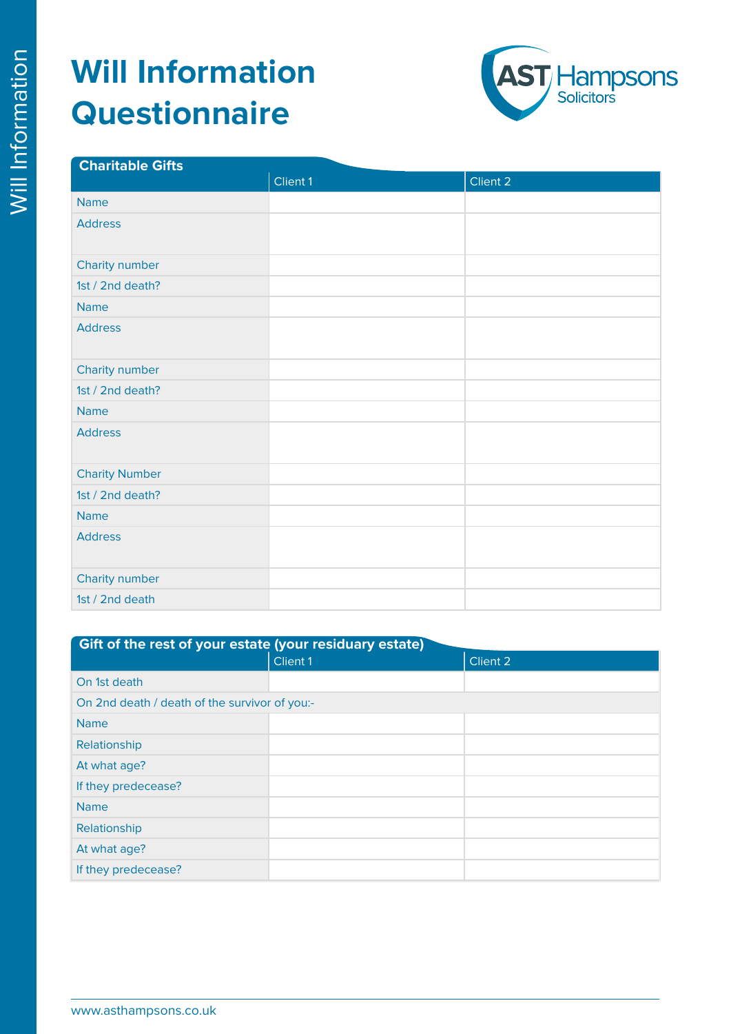

| <b>Charitable Gifts</b> |          |          |
|-------------------------|----------|----------|
|                         | Client 1 | Client 2 |
| <b>Name</b>             |          |          |
| <b>Address</b>          |          |          |
| Charity number          |          |          |
| 1st / 2nd death?        |          |          |
| <b>Name</b>             |          |          |
| <b>Address</b>          |          |          |
| Charity number          |          |          |
| 1st / 2nd death?        |          |          |
| <b>Name</b>             |          |          |
| <b>Address</b>          |          |          |
| <b>Charity Number</b>   |          |          |
| 1st / 2nd death?        |          |          |
| <b>Name</b>             |          |          |
| <b>Address</b>          |          |          |
| Charity number          |          |          |
| 1st / 2nd death         |          |          |

| Gift of the rest of your estate (your residuary estate) |                 |          |
|---------------------------------------------------------|-----------------|----------|
|                                                         | <b>Client 1</b> | Client 2 |
| On 1st death                                            |                 |          |
| On 2nd death / death of the survivor of you:-           |                 |          |
| <b>Name</b>                                             |                 |          |
| Relationship                                            |                 |          |
| At what age?                                            |                 |          |
| If they predecease?                                     |                 |          |
| <b>Name</b>                                             |                 |          |
| Relationship                                            |                 |          |
| At what age?                                            |                 |          |
| If they predecease?                                     |                 |          |